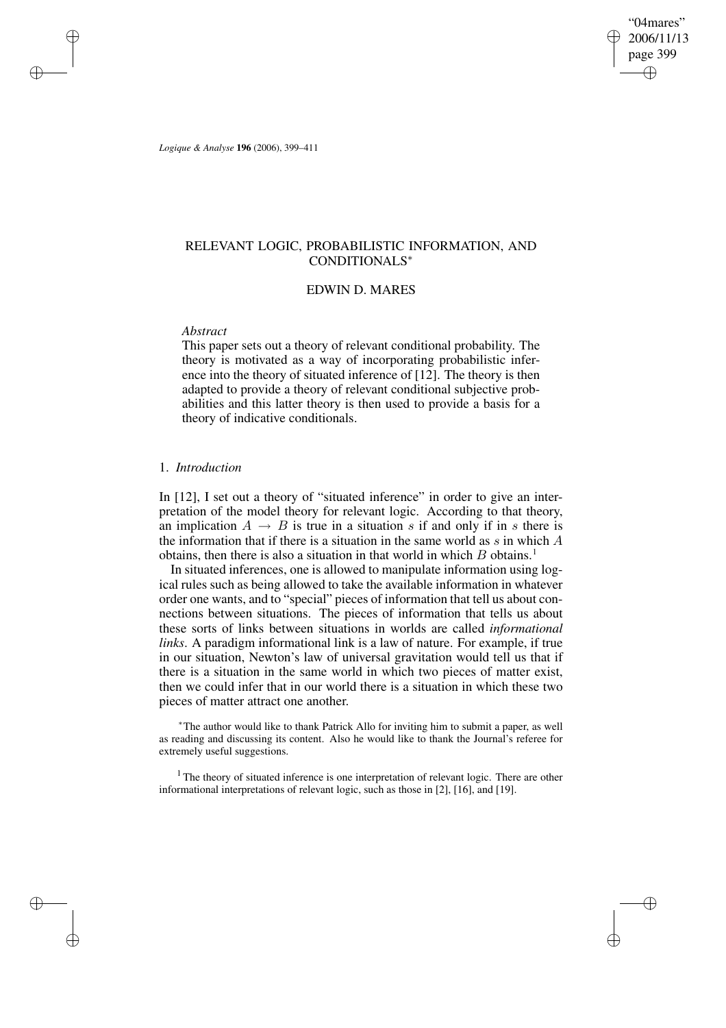"04mares" 2006/11/13 page 399 ✐ ✐

✐

✐

*Logique & Analyse* **196** (2006), 399–411

✐

✐

✐

✐

# RELEVANT LOGIC, PROBABILISTIC INFORMATION, AND CONDITIONALS<sup>∗</sup>

# EDWIN D. MARES

### *Abstract*

This paper sets out a theory of relevant conditional probability. The theory is motivated as a way of incorporating probabilistic inference into the theory of situated inference of [12]. The theory is then adapted to provide a theory of relevant conditional subjective probabilities and this latter theory is then used to provide a basis for a theory of indicative conditionals.

### 1. *Introduction*

In [12], I set out a theory of "situated inference" in order to give an interpretation of the model theory for relevant logic. According to that theory, an implication  $A \rightarrow B$  is true in a situation s if and only if in s there is the information that if there is a situation in the same world as s in which  $A$ obtains, then there is also a situation in that world in which  $B$  obtains.<sup>1</sup>

In situated inferences, one is allowed to manipulate information using logical rules such as being allowed to take the available information in whatever order one wants, and to "special" pieces of information that tell us about connections between situations. The pieces of information that tells us about these sorts of links between situations in worlds are called *informational links*. A paradigm informational link is a law of nature. For example, if true in our situation, Newton's law of universal gravitation would tell us that if there is a situation in the same world in which two pieces of matter exist, then we could infer that in our world there is a situation in which these two pieces of matter attract one another.

<sup>∗</sup>The author would like to thank Patrick Allo for inviting him to submit a paper, as well as reading and discussing its content. Also he would like to thank the Journal's referee for extremely useful suggestions.

<sup>1</sup> The theory of situated inference is one interpretation of relevant logic. There are other informational interpretations of relevant logic, such as those in [2], [16], and [19].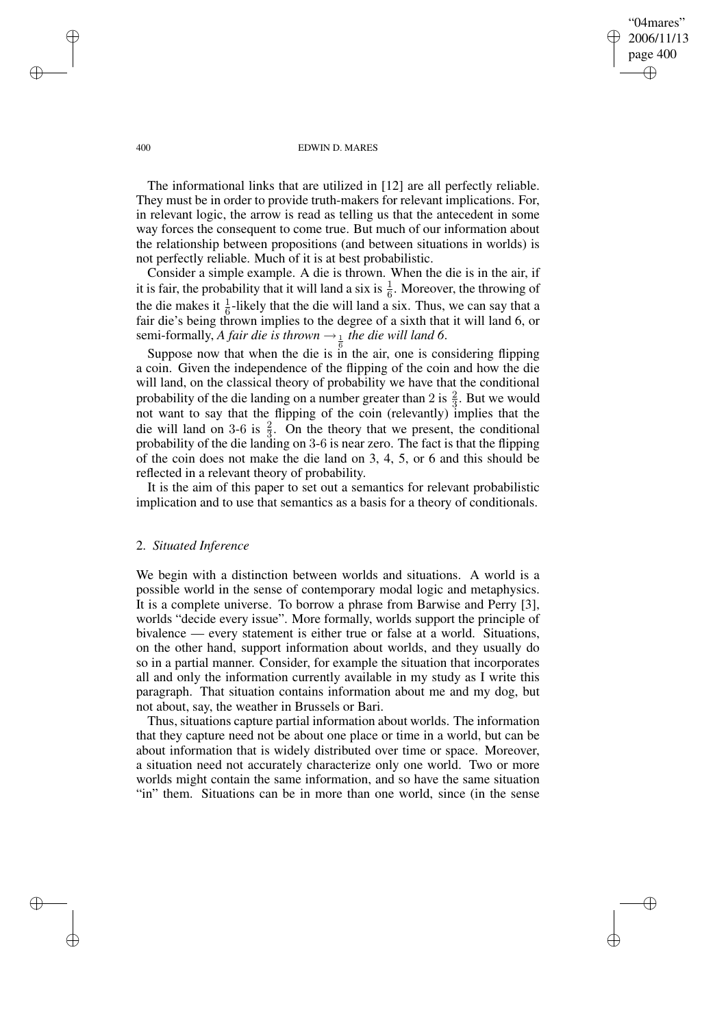"04mares" 2006/11/13 page 400 ✐ ✐

✐

✐

#### 400 EDWIN D. MARES

The informational links that are utilized in [12] are all perfectly reliable. They must be in order to provide truth-makers for relevant implications. For, in relevant logic, the arrow is read as telling us that the antecedent in some way forces the consequent to come true. But much of our information about the relationship between propositions (and between situations in worlds) is not perfectly reliable. Much of it is at best probabilistic.

Consider a simple example. A die is thrown. When the die is in the air, if it is fair, the probability that it will land a six is  $\frac{1}{6}$ . Moreover, the throwing of the die makes it  $\frac{1}{6}$ -likely that the die will land a six. Thus, we can say that a fair die's being thrown implies to the degree of a sixth that it will land 6, or semi-formally, *A fair die is thrown*  $\rightarrow \frac{1}{6}$  *the die will land* 6.

Suppose now that when the die is in the air, one is considering flipping a coin. Given the independence of the flipping of the coin and how the die will land, on the classical theory of probability we have that the conditional probability of the die landing on a number greater than 2 is  $\frac{2}{3}$ . But we would not want to say that the flipping of the coin (relevantly) implies that the die will land on 3-6 is  $\frac{2}{3}$ . On the theory that we present, the conditional probability of the die landing on 3-6 is near zero. The fact is that the flipping of the coin does not make the die land on 3, 4, 5, or 6 and this should be reflected in a relevant theory of probability.

It is the aim of this paper to set out a semantics for relevant probabilistic implication and to use that semantics as a basis for a theory of conditionals.

## 2. *Situated Inference*

We begin with a distinction between worlds and situations. A world is a possible world in the sense of contemporary modal logic and metaphysics. It is a complete universe. To borrow a phrase from Barwise and Perry [3], worlds "decide every issue". More formally, worlds support the principle of bivalence — every statement is either true or false at a world. Situations, on the other hand, support information about worlds, and they usually do so in a partial manner. Consider, for example the situation that incorporates all and only the information currently available in my study as I write this paragraph. That situation contains information about me and my dog, but not about, say, the weather in Brussels or Bari.

Thus, situations capture partial information about worlds. The information that they capture need not be about one place or time in a world, but can be about information that is widely distributed over time or space. Moreover, a situation need not accurately characterize only one world. Two or more worlds might contain the same information, and so have the same situation "in" them. Situations can be in more than one world, since (in the sense

✐

✐

✐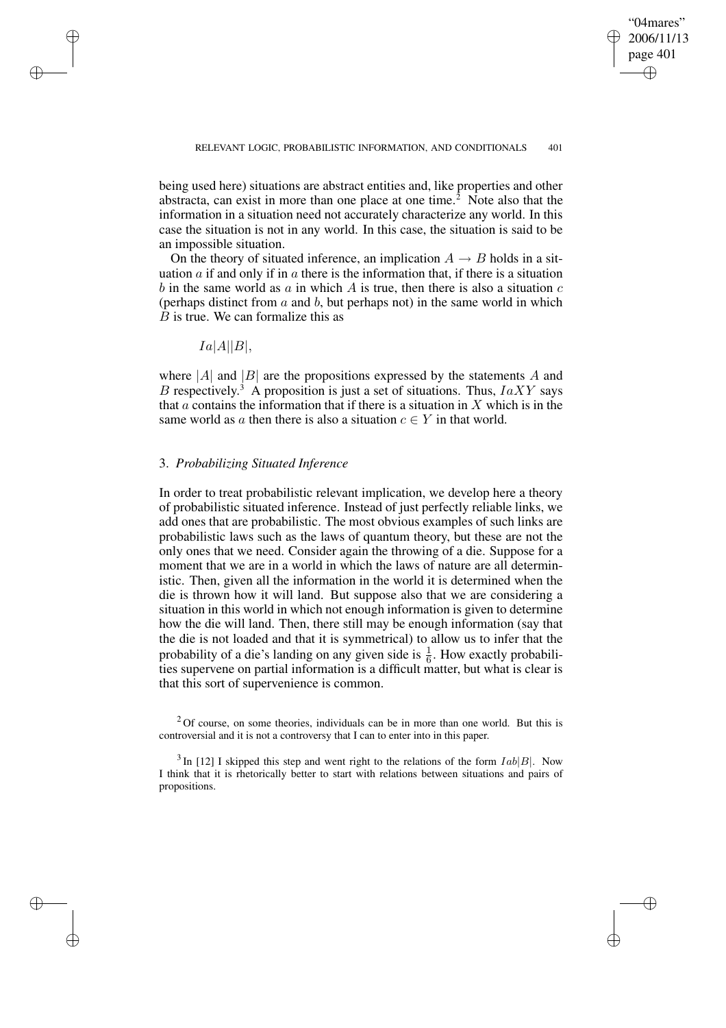✐

being used here) situations are abstract entities and, like properties and other abstracta, can exist in more than one place at one time.<sup>2</sup> Note also that the information in a situation need not accurately characterize any world. In this case the situation is not in any world. In this case, the situation is said to be an impossible situation.

On the theory of situated inference, an implication  $A \rightarrow B$  holds in a situation  $\alpha$  if and only if in  $\alpha$  there is the information that, if there is a situation b in the same world as  $\alpha$  in which A is true, then there is also a situation  $\alpha$ (perhaps distinct from  $a$  and  $b$ , but perhaps not) in the same world in which  $B$  is true. We can formalize this as

 $Ia|A||B|$ ,

✐

✐

✐

✐

where  $|A|$  and  $|B|$  are the propositions expressed by the statements A and B respectively.<sup>3</sup> A proposition is just a set of situations. Thus,  $IaXY$  says that  $\alpha$  contains the information that if there is a situation in  $X$  which is in the same world as a then there is also a situation  $c \in Y$  in that world.

# 3. *Probabilizing Situated Inference*

In order to treat probabilistic relevant implication, we develop here a theory of probabilistic situated inference. Instead of just perfectly reliable links, we add ones that are probabilistic. The most obvious examples of such links are probabilistic laws such as the laws of quantum theory, but these are not the only ones that we need. Consider again the throwing of a die. Suppose for a moment that we are in a world in which the laws of nature are all deterministic. Then, given all the information in the world it is determined when the die is thrown how it will land. But suppose also that we are considering a situation in this world in which not enough information is given to determine how the die will land. Then, there still may be enough information (say that the die is not loaded and that it is symmetrical) to allow us to infer that the probability of a die's landing on any given side is  $\frac{1}{6}$ . How exactly probabilities supervene on partial information is a difficult matter, but what is clear is that this sort of supervenience is common.

 $2$ Of course, on some theories, individuals can be in more than one world. But this is controversial and it is not a controversy that I can to enter into in this paper.

<sup>3</sup> In [12] I skipped this step and went right to the relations of the form  $Iab|B|$ . Now I think that it is rhetorically better to start with relations between situations and pairs of propositions.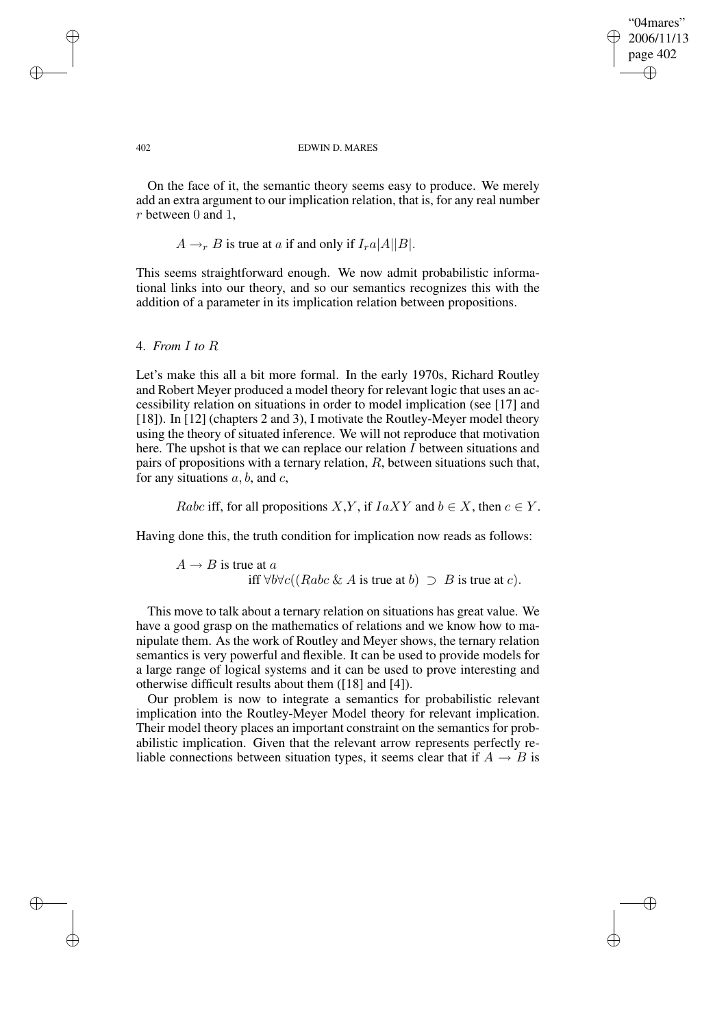✐

#### 402 EDWIN D. MARES

On the face of it, the semantic theory seems easy to produce. We merely add an extra argument to our implication relation, that is, for any real number r between 0 and 1,

 $A \rightarrow_r B$  is true at a if and only if  $I_{r}a|A||B|$ .

This seems straightforward enough. We now admit probabilistic informational links into our theory, and so our semantics recognizes this with the addition of a parameter in its implication relation between propositions.

## 4. *From* I *to* R

Let's make this all a bit more formal. In the early 1970s, Richard Routley and Robert Meyer produced a model theory for relevant logic that uses an accessibility relation on situations in order to model implication (see [17] and [18]). In [12] (chapters 2 and 3), I motivate the Routley-Meyer model theory using the theory of situated inference. We will not reproduce that motivation here. The upshot is that we can replace our relation  $I$  between situations and pairs of propositions with a ternary relation,  $R$ , between situations such that, for any situations  $a, b$ , and  $c$ ,

Rabc iff, for all propositions X,Y, if  $IaXY$  and  $b \in X$ , then  $c \in Y$ .

Having done this, the truth condition for implication now reads as follows:

 $A \rightarrow B$  is true at a iff  $\forall b \forall c ((Rabc \& A \text{ is true at } b) \supset B \text{ is true at } c).$ 

This move to talk about a ternary relation on situations has great value. We have a good grasp on the mathematics of relations and we know how to manipulate them. As the work of Routley and Meyer shows, the ternary relation semantics is very powerful and flexible. It can be used to provide models for a large range of logical systems and it can be used to prove interesting and otherwise difficult results about them ([18] and [4]).

Our problem is now to integrate a semantics for probabilistic relevant implication into the Routley-Meyer Model theory for relevant implication. Their model theory places an important constraint on the semantics for probabilistic implication. Given that the relevant arrow represents perfectly reliable connections between situation types, it seems clear that if  $A \rightarrow B$  is

✐

✐

✐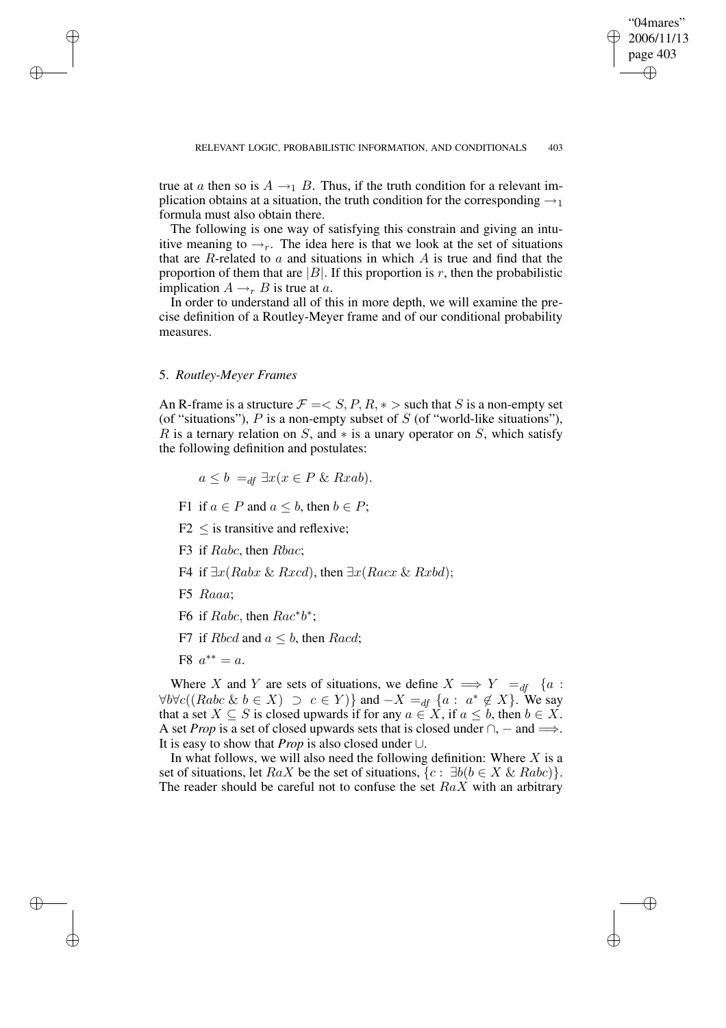✐

true at a then so is  $A \rightarrow_1 B$ . Thus, if the truth condition for a relevant implication obtains at a situation, the truth condition for the corresponding  $\rightarrow_1$ formula must also obtain there.

The following is one way of satisfying this constrain and giving an intuitive meaning to  $\rightarrow_r$ . The idea here is that we look at the set of situations that are  $R$ -related to  $a$  and situations in which  $A$  is true and find that the proportion of them that are  $|B|$ . If this proportion is r, then the probabilistic implication  $A \rightarrow_r B$  is true at a.

In order to understand all of this in more depth, we will examine the precise definition of a Routley-Meyer frame and of our conditional probability measures.

### 5. *Routley-Meyer Frames*

✐

✐

✐

✐

An R-frame is a structure  $\mathcal{F} = \langle S, P, R, * \rangle$  such that S is a non-empty set (of "situations"),  $P$  is a non-empty subset of  $S$  (of "world-like situations"), R is a ternary relation on S, and  $*$  is a unary operator on S, which satisfy the following definition and postulates:

$$
a \le b =_{df} \exists x (x \in P \& \, Rxab).
$$

- F1 if  $a \in P$  and  $a \leq b$ , then  $b \in P$ ;
- $F2 <$  is transitive and reflexive;
- F3 if Rabc, then Rbac;
- F4 if  $\exists x (Rabx \& Rxcd)$ , then  $\exists x (Racx \& Rxbd)$ ;
- F5 Raaa;
- F6 if Rabc, then  $Rac^*b^*$ ;
- F7 if Rbcd and  $a \leq b$ , then Racd;
- F8  $a^{**} = a$ .

Where X and Y are sets of situations, we define  $X \implies Y =_{df} \{a :$  $\forall b \forall c ((Rabc \& b \in X) \supset c \in Y) \}$  and  $-X =_{df} \{a : a^* \notin X\}$ . We say that a set  $X \subseteq S$  is closed upwards if for any  $a \in X$ , if  $a \leq b$ , then  $b \in X$ . A set *Prop* is a set of closed upwards sets that is closed under  $\cap$ ,  $-$  and  $\Longrightarrow$ . It is easy to show that *Prop* is also closed under ∪.

In what follows, we will also need the following definition: Where  $X$  is a set of situations, let  $RaX$  be the set of situations,  $\{c: \exists b(b \in X \& Rabc)\}.$ The reader should be careful not to confuse the set  $RaX$  with an arbitrary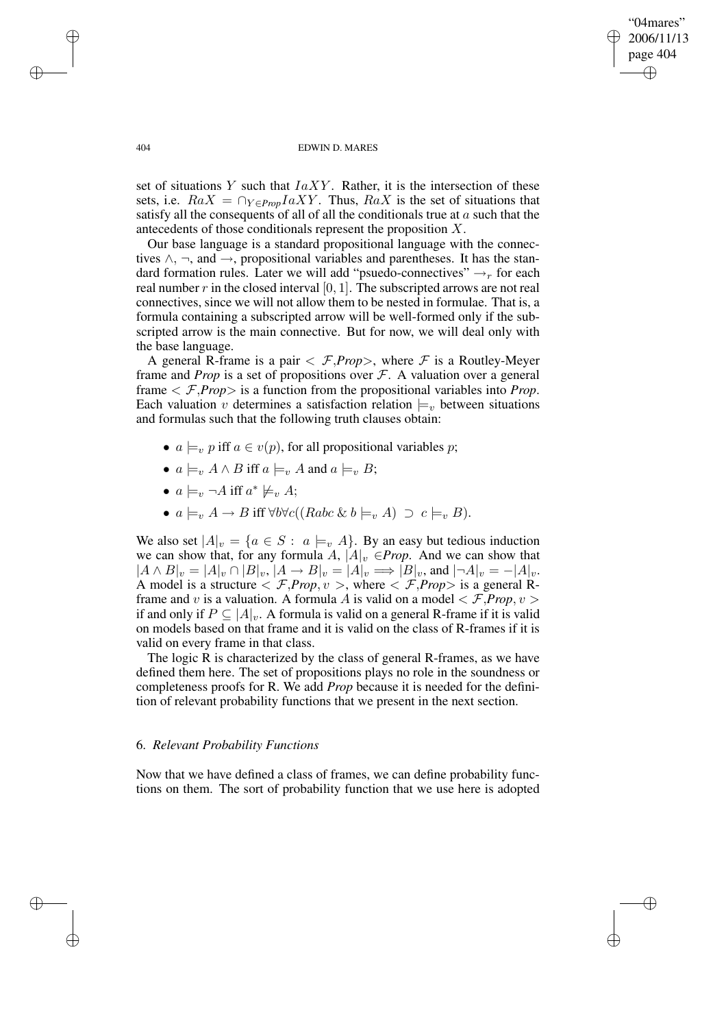✐

#### 404 EDWIN D. MARES

set of situations  $Y$  such that  $IaXY$ . Rather, it is the intersection of these sets, i.e.  $RaX = \bigcap_{Y \in Prop} IaXY$ . Thus,  $RaX$  is the set of situations that satisfy all the consequents of all of all the conditionals true at  $a$  such that the antecedents of those conditionals represent the proposition X.

Our base language is a standard propositional language with the connectives  $\wedge$ ,  $\neg$ , and  $\rightarrow$ , propositional variables and parentheses. It has the standard formation rules. Later we will add "psuedo-connectives"  $\rightarrow_r$  for each real number  $r$  in the closed interval  $[0, 1]$ . The subscripted arrows are not real connectives, since we will not allow them to be nested in formulae. That is, a formula containing a subscripted arrow will be well-formed only if the subscripted arrow is the main connective. But for now, we will deal only with the base language.

A general R-frame is a pair  $\langle \mathcal{F}, Prop \rangle$ , where  $\mathcal F$  is a Routley-Meyer frame and *Prop* is a set of propositions over  $F$ . A valuation over a general frame  $\langle \mathcal{F}, \text{Prop} \rangle$  is a function from the propositional variables into *Prop*. Each valuation v determines a satisfaction relation  $\models_{v}$  between situations and formulas such that the following truth clauses obtain:

- $a \models_v p$  iff  $a \in v(p)$ , for all propositional variables p;
- $a \models_{v} A \land B$  iff  $a \models_{v} A$  and  $a \models_{v} B$ ;
- $a \models_v \neg A$  iff  $a^* \not\models_v A;$
- $a \models_{v} A \rightarrow B$  iff  $\forall b \forall c ((Rabc \& b \models_{v} A) \supset c \models_{v} B).$

We also set  $|A|_v = \{a \in S : a \models_v A\}$ . By an easy but tedious induction we can show that, for any formula A,  $|A|_v \in Prop.$  And we can show that  $|A \wedge B|_{v} = |A|_{v} \cap |B|_{v}, |A \rightarrow B|_{v} = |A|_{v} \Longrightarrow |B|_{v}$ , and  $|\neg A|_{v} = -|A|_{v}$ . A model is a structure  $\langle \mathcal{F}, Prop, v \rangle$ , where  $\langle \mathcal{F}, Prop \rangle$  is a general Rframe and v is a valuation. A formula A is valid on a model  $\langle \mathcal{F}, Prop, v \rangle$ if and only if  $P \subseteq |A|_v$ . A formula is valid on a general R-frame if it is valid on models based on that frame and it is valid on the class of R-frames if it is valid on every frame in that class.

The logic R is characterized by the class of general R-frames, as we have defined them here. The set of propositions plays no role in the soundness or completeness proofs for R. We add *Prop* because it is needed for the definition of relevant probability functions that we present in the next section.

## 6. *Relevant Probability Functions*

Now that we have defined a class of frames, we can define probability functions on them. The sort of probability function that we use here is adopted

✐

✐

✐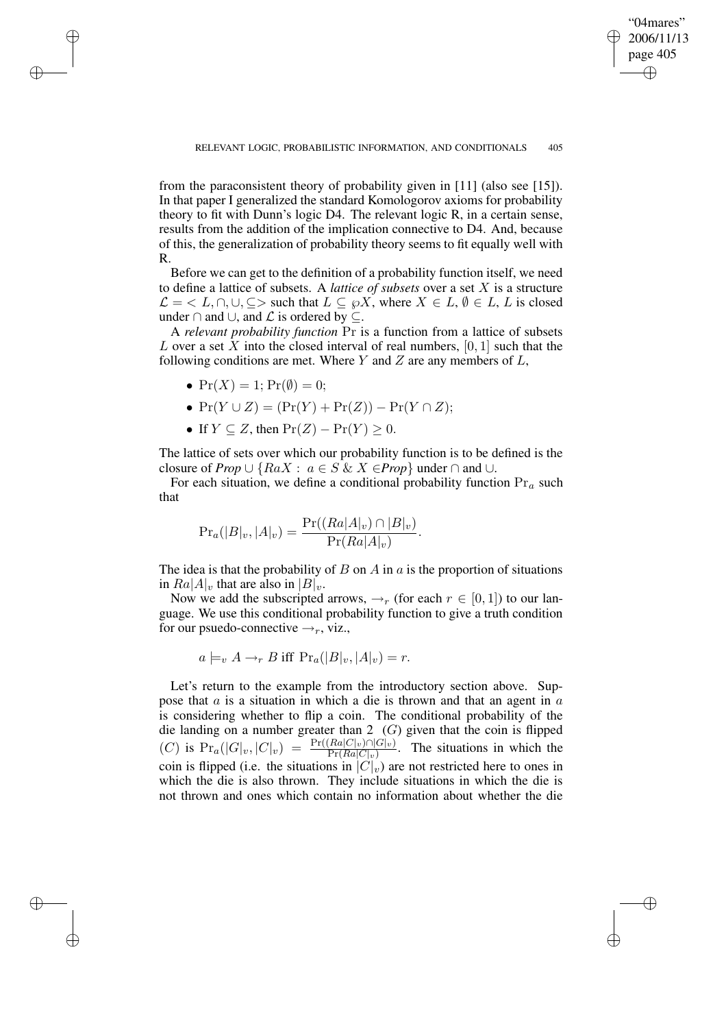"04mares" 2006/11/13

✐

✐

from the paraconsistent theory of probability given in [11] (also see [15]). In that paper I generalized the standard Komologorov axioms for probability theory to fit with Dunn's logic D4. The relevant logic R, in a certain sense, results from the addition of the implication connective to D4. And, because of this, the generalization of probability theory seems to fit equally well with R.

Before we can get to the definition of a probability function itself, we need to define a lattice of subsets. A *lattice of subsets* over a set X is a structure  $\mathcal{L} = \langle L, \cap, \cup, \subseteq \rangle$  such that  $L \subseteq \wp X$ , where  $X \in L, \emptyset \in L$ , L is closed under ∩ and  $\cup$ , and  $\mathcal L$  is ordered by  $\subseteq$ .

A *relevant probability function* Pr is a function from a lattice of subsets L over a set X into the closed interval of real numbers,  $[0, 1]$  such that the following conditions are met. Where  $Y$  and  $Z$  are any members of  $L$ ,

•  $Pr(X) = 1$ ;  $Pr(\emptyset) = 0$ ;

✐

✐

✐

✐

- $Pr(Y \cup Z) = (Pr(Y) + Pr(Z)) Pr(Y \cap Z);$
- If  $Y \subseteq Z$ , then  $Pr(Z) Pr(Y) \geq 0$ .

The lattice of sets over which our probability function is to be defined is the closure of *Prop*  $\cup$  { $RaX : a \in S \& X \in Prop$ } under  $\cap$  and  $\cup$ .

For each situation, we define a conditional probability function  $Pr_a$  such that

$$
Pr_a(|B|_v, |A|_v) = \frac{Pr((Ra|A|_v) \cap |B|_v)}{Pr(Ra|A|_v)}.
$$

The idea is that the probability of  $B$  on  $A$  in  $a$  is the proportion of situations in  $Ra|A|_v$  that are also in  $|B|_v$ .

Now we add the subscripted arrows,  $\rightarrow_r$  (for each  $r \in [0,1]$ ) to our language. We use this conditional probability function to give a truth condition for our psuedo-connective  $\rightarrow_r$ , viz.,

$$
a \models_v A \rightarrow_r B
$$
 iff  $\Pr_a(|B|_v, |A|_v) = r$ .

Let's return to the example from the introductory section above. Suppose that  $a$  is a situation in which a die is thrown and that an agent in  $a$ is considering whether to flip a coin. The conditional probability of the die landing on a number greater than  $2(G)$  given that the coin is flipped  $(C)$  is  $Pr_a(|G|_v, |C|_v) = \frac{Pr((Ra|C|_v) \cap |G|_v)}{Pr(Ra|C|_v)}$  $\frac{Ra(C|v)||G|v)}{\Pr(Ra|C|v)}$ . The situations in which the coin is flipped (i.e. the situations in  $|C|_v$ ) are not restricted here to ones in which the die is also thrown. They include situations in which the die is not thrown and ones which contain no information about whether the die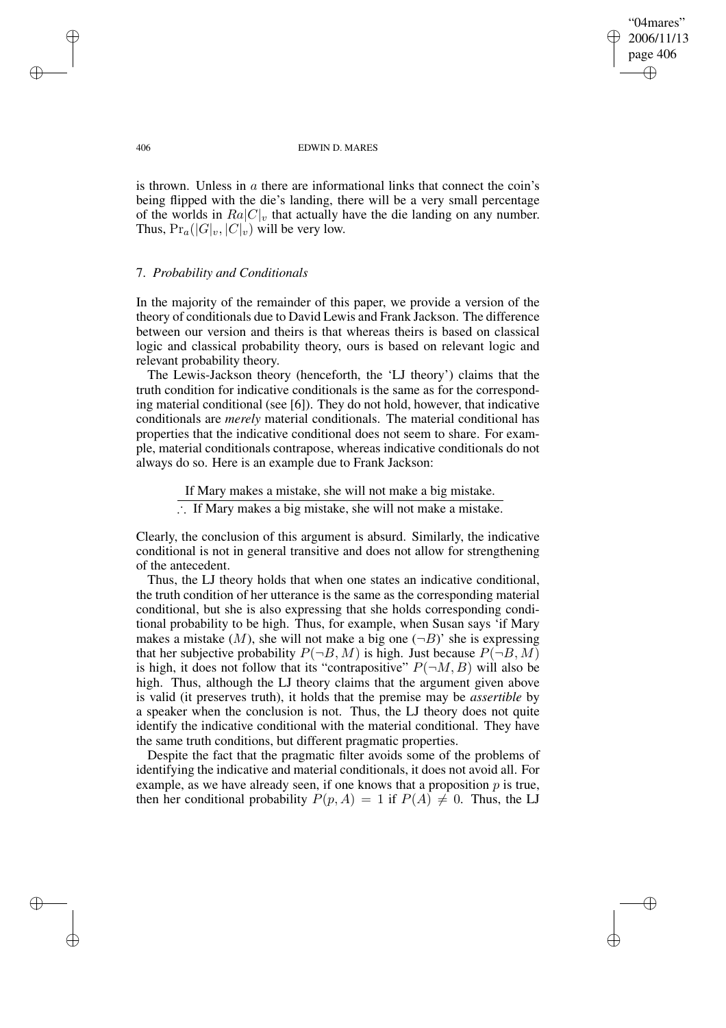"04mares" 2006/11/13 page 406 ✐ ✐

✐

✐

#### 406 EDWIN D. MARES

is thrown. Unless in a there are informational links that connect the coin's being flipped with the die's landing, there will be a very small percentage of the worlds in  $Ra|C|_v$  that actually have the die landing on any number. Thus,  $Pr_a(|G|_v, |C|_v)$  will be very low.

## 7. *Probability and Conditionals*

In the majority of the remainder of this paper, we provide a version of the theory of conditionals due to David Lewis and Frank Jackson. The difference between our version and theirs is that whereas theirs is based on classical logic and classical probability theory, ours is based on relevant logic and relevant probability theory.

The Lewis-Jackson theory (henceforth, the 'LJ theory') claims that the truth condition for indicative conditionals is the same as for the corresponding material conditional (see [6]). They do not hold, however, that indicative conditionals are *merely* material conditionals. The material conditional has properties that the indicative conditional does not seem to share. For example, material conditionals contrapose, whereas indicative conditionals do not always do so. Here is an example due to Frank Jackson:

If Mary makes a mistake, she will not make a big mistake.

∴ If Mary makes a big mistake, she will not make a mistake.

Clearly, the conclusion of this argument is absurd. Similarly, the indicative conditional is not in general transitive and does not allow for strengthening of the antecedent.

Thus, the LJ theory holds that when one states an indicative conditional, the truth condition of her utterance is the same as the corresponding material conditional, but she is also expressing that she holds corresponding conditional probability to be high. Thus, for example, when Susan says 'if Mary makes a mistake  $(M)$ , she will not make a big one  $(\neg B)'$  she is expressing that her subjective probability  $P(\neg B, M)$  is high. Just because  $P(\neg B, M)$ is high, it does not follow that its "contrapositive"  $P(\neg M, B)$  will also be high. Thus, although the LJ theory claims that the argument given above is valid (it preserves truth), it holds that the premise may be *assertible* by a speaker when the conclusion is not. Thus, the LJ theory does not quite identify the indicative conditional with the material conditional. They have the same truth conditions, but different pragmatic properties.

Despite the fact that the pragmatic filter avoids some of the problems of identifying the indicative and material conditionals, it does not avoid all. For example, as we have already seen, if one knows that a proposition  $p$  is true, then her conditional probability  $P(p, A) = 1$  if  $P(A) \neq 0$ . Thus, the LJ

✐

✐

✐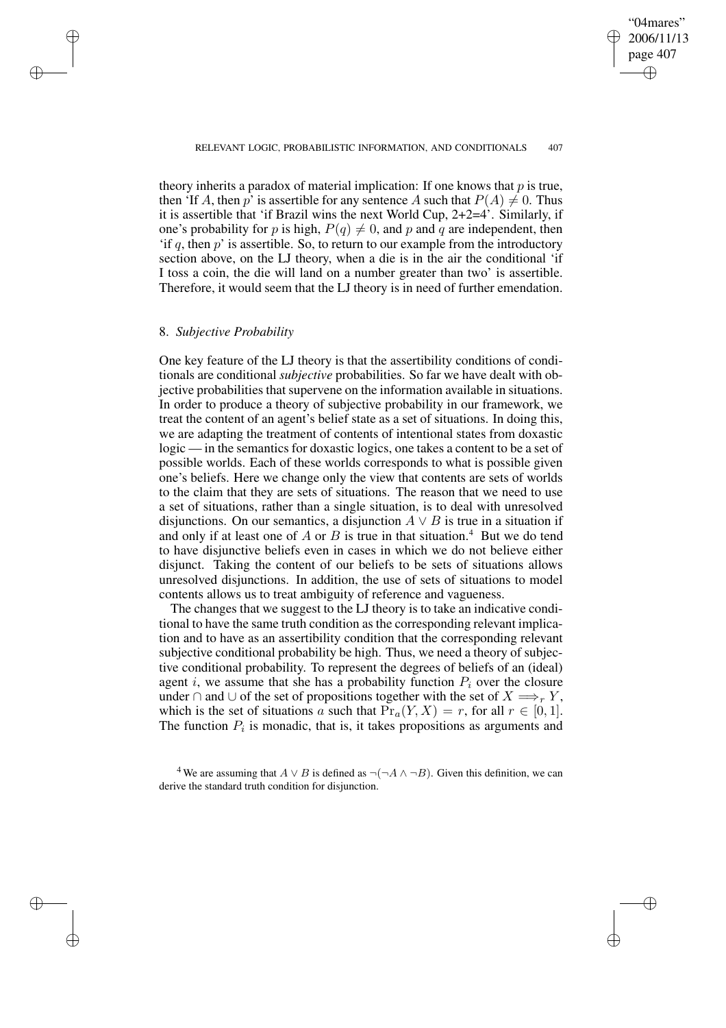✐

theory inherits a paradox of material implication: If one knows that  $p$  is true, then 'If A, then p' is assertible for any sentence A such that  $P(A) \neq 0$ . Thus it is assertible that 'if Brazil wins the next World Cup, 2+2=4'. Similarly, if one's probability for p is high,  $P(q) \neq 0$ , and p and q are independent, then 'if q, then  $p$ ' is assertible. So, to return to our example from the introductory section above, on the LJ theory, when a die is in the air the conditional 'if I toss a coin, the die will land on a number greater than two' is assertible. Therefore, it would seem that the LJ theory is in need of further emendation.

### 8. *Subjective Probability*

✐

✐

✐

✐

One key feature of the LJ theory is that the assertibility conditions of conditionals are conditional *subjective* probabilities. So far we have dealt with objective probabilities that supervene on the information available in situations. In order to produce a theory of subjective probability in our framework, we treat the content of an agent's belief state as a set of situations. In doing this, we are adapting the treatment of contents of intentional states from doxastic logic — in the semantics for doxastic logics, one takes a content to be a set of possible worlds. Each of these worlds corresponds to what is possible given one's beliefs. Here we change only the view that contents are sets of worlds to the claim that they are sets of situations. The reason that we need to use a set of situations, rather than a single situation, is to deal with unresolved disjunctions. On our semantics, a disjunction  $A \vee B$  is true in a situation if and only if at least one of A or B is true in that situation.<sup>4</sup> But we do tend to have disjunctive beliefs even in cases in which we do not believe either disjunct. Taking the content of our beliefs to be sets of situations allows unresolved disjunctions. In addition, the use of sets of situations to model contents allows us to treat ambiguity of reference and vagueness.

The changes that we suggest to the LJ theory is to take an indicative conditional to have the same truth condition as the corresponding relevant implication and to have as an assertibility condition that the corresponding relevant subjective conditional probability be high. Thus, we need a theory of subjective conditional probability. To represent the degrees of beliefs of an (ideal) agent i, we assume that she has a probability function  $P_i$  over the closure under ∩ and ∪ of the set of propositions together with the set of  $X \Longrightarrow_r Y$ , which is the set of situations a such that  $Pr_a(Y, X) = r$ , for all  $r \in [0, 1]$ . The function  $P_i$  is monadic, that is, it takes propositions as arguments and

<sup>&</sup>lt;sup>4</sup> We are assuming that  $A \vee B$  is defined as  $\neg(\neg A \wedge \neg B)$ . Given this definition, we can derive the standard truth condition for disjunction.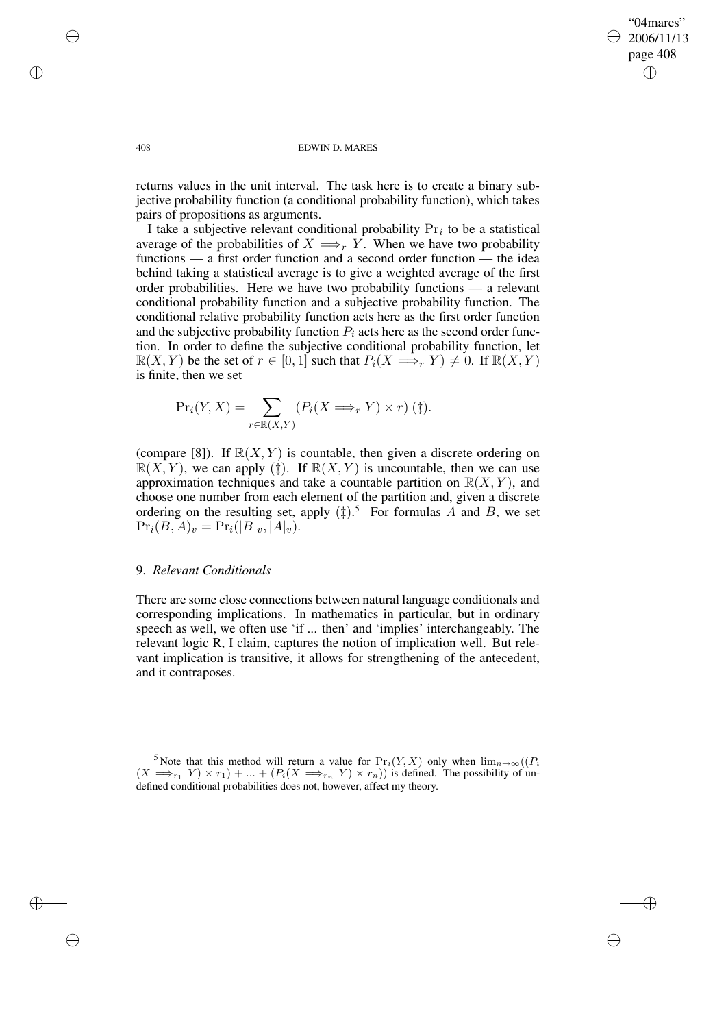✐

#### 408 EDWIN D. MARES

returns values in the unit interval. The task here is to create a binary subjective probability function (a conditional probability function), which takes pairs of propositions as arguments.

I take a subjective relevant conditional probability  $Pr_i$  to be a statistical average of the probabilities of  $X \Longrightarrow_r Y$ . When we have two probability functions — a first order function and a second order function — the idea behind taking a statistical average is to give a weighted average of the first order probabilities. Here we have two probability functions — a relevant conditional probability function and a subjective probability function. The conditional relative probability function acts here as the first order function and the subjective probability function  $P_i$  acts here as the second order function. In order to define the subjective conditional probability function, let  $\mathbb{R}(X, Y)$  be the set of  $r \in [0, 1]$  such that  $P_i(X \implies_r Y) \neq 0$ . If  $\mathbb{R}(X, Y)$ is finite, then we set

$$
\Pr_i(Y, X) = \sum_{r \in \mathbb{R}(X, Y)} (P_i(X \Longrightarrow_r Y) \times r) \quad (\ddagger).
$$

(compare [8]). If  $\mathbb{R}(X, Y)$  is countable, then given a discrete ordering on  $\mathbb{R}(X, Y)$ , we can apply (‡). If  $\mathbb{R}(X, Y)$  is uncountable, then we can use approximation techniques and take a countable partition on  $\mathbb{R}(X, Y)$ , and choose one number from each element of the partition and, given a discrete ordering on the resulting set, apply  $(\ddagger)$ .<sup>5</sup> For formulas A and B, we set  $\Pr_i(B, A)_v = \Pr_i(|B|_v, |A|_v).$ 

# 9. *Relevant Conditionals*

There are some close connections between natural language conditionals and corresponding implications. In mathematics in particular, but in ordinary speech as well, we often use 'if ... then' and 'implies' interchangeably. The relevant logic R, I claim, captures the notion of implication well. But relevant implication is transitive, it allows for strengthening of the antecedent, and it contraposes.

✐

✐

✐

<sup>5</sup> Note that this method will return a value for Pri(Y, X) only when lim<sup>n</sup>→∞((P<sup>i</sup>  $(X \implies_{r_1} Y) \times r_1 + ... + (P_i(X \implies_{r_n} Y) \times r_n))$  is defined. The possibility of undefined conditional probabilities does not, however, affect my theory.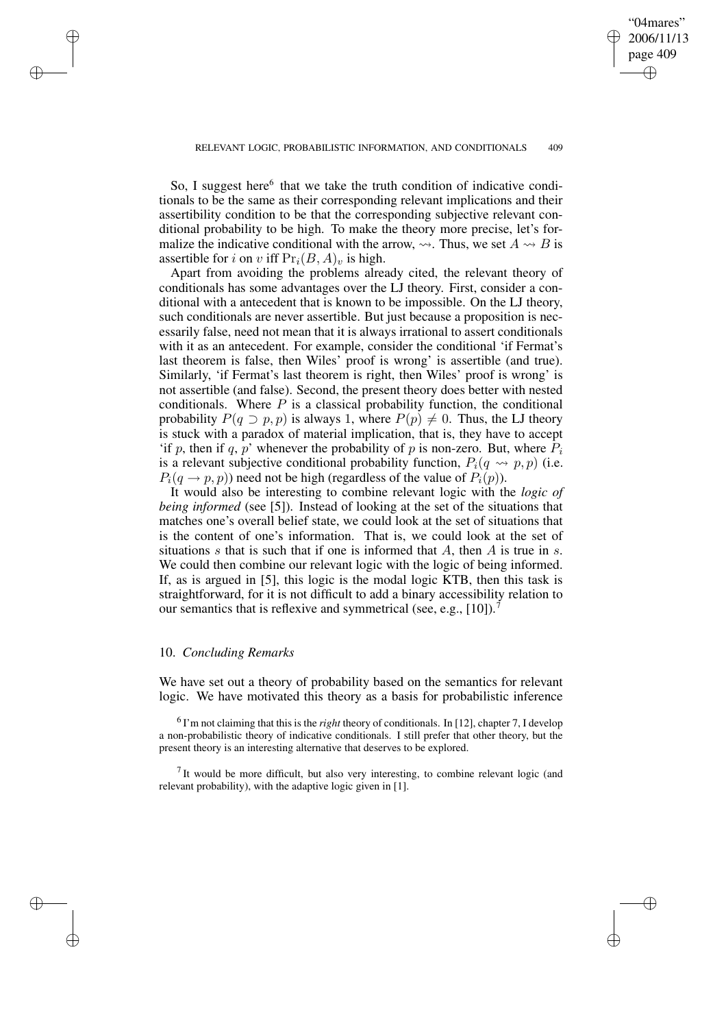"04mares" 2006/11/13 page 409

✐

✐

✐

✐

So, I suggest here<sup>6</sup> that we take the truth condition of indicative conditionals to be the same as their corresponding relevant implications and their assertibility condition to be that the corresponding subjective relevant conditional probability to be high. To make the theory more precise, let's formalize the indicative conditional with the arrow,  $\rightsquigarrow$ . Thus, we set  $A \rightsquigarrow B$  is assertible for i on v iff  $Pr_i(B, A)_v$  is high.

Apart from avoiding the problems already cited, the relevant theory of conditionals has some advantages over the LJ theory. First, consider a conditional with a antecedent that is known to be impossible. On the LJ theory, such conditionals are never assertible. But just because a proposition is necessarily false, need not mean that it is always irrational to assert conditionals with it as an antecedent. For example, consider the conditional 'if Fermat's last theorem is false, then Wiles' proof is wrong' is assertible (and true). Similarly, 'if Fermat's last theorem is right, then Wiles' proof is wrong' is not assertible (and false). Second, the present theory does better with nested conditionals. Where  $P$  is a classical probability function, the conditional probability  $P(q \supset p, p)$  is always 1, where  $P(p) \neq 0$ . Thus, the LJ theory is stuck with a paradox of material implication, that is, they have to accept 'if p, then if q, p' whenever the probability of p is non-zero. But, where  $P_i$ is a relevant subjective conditional probability function,  $P_i(q \leftrightarrow p, p)$  (i.e.  $P_i(q \rightarrow p, p)$  need not be high (regardless of the value of  $P_i(p)$ ).

It would also be interesting to combine relevant logic with the *logic of being informed* (see [5]). Instead of looking at the set of the situations that matches one's overall belief state, we could look at the set of situations that is the content of one's information. That is, we could look at the set of situations s that is such that if one is informed that  $A$ , then  $A$  is true in s. We could then combine our relevant logic with the logic of being informed. If, as is argued in [5], this logic is the modal logic KTB, then this task is straightforward, for it is not difficult to add a binary accessibility relation to our semantics that is reflexive and symmetrical (see, e.g.,  $[10]$ ).<sup>7</sup>

### 10. *Concluding Remarks*

✐

✐

✐

✐

We have set out a theory of probability based on the semantics for relevant logic. We have motivated this theory as a basis for probabilistic inference

<sup>6</sup> I'm not claiming that this is the *right* theory of conditionals. In [12], chapter 7, I develop a non-probabilistic theory of indicative conditionals. I still prefer that other theory, but the present theory is an interesting alternative that deserves to be explored.

 $<sup>7</sup>$  It would be more difficult, but also very interesting, to combine relevant logic (and</sup> relevant probability), with the adaptive logic given in [1].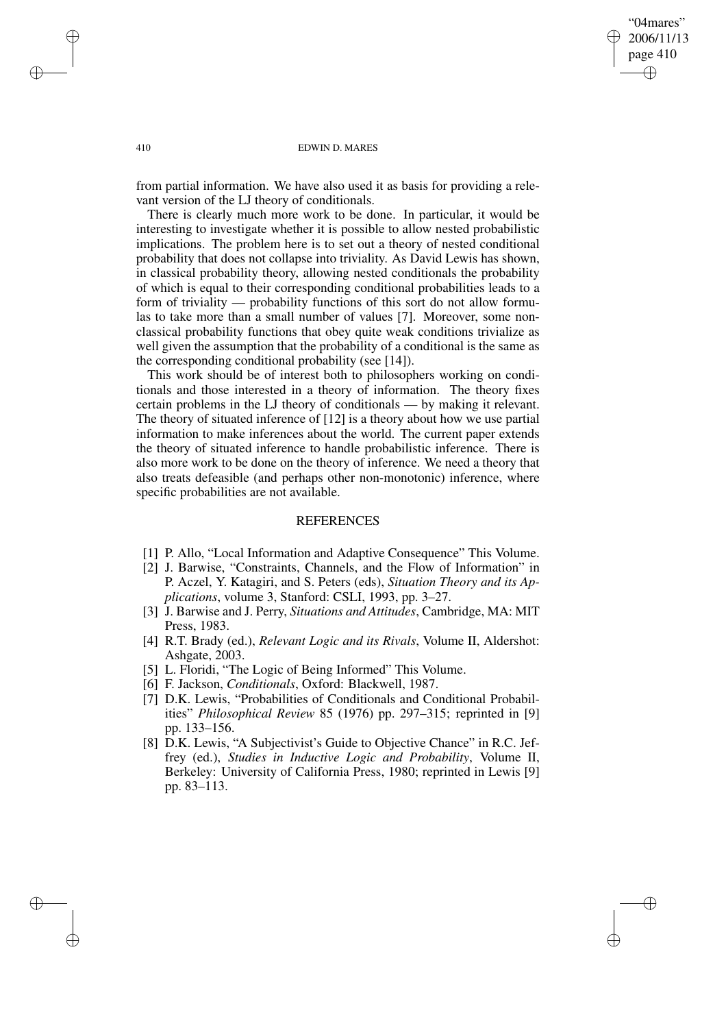## "04mares" 2006/11/13 page 410 ✐ ✐

✐

✐

#### 410 EDWIN D. MARES

from partial information. We have also used it as basis for providing a relevant version of the LJ theory of conditionals.

There is clearly much more work to be done. In particular, it would be interesting to investigate whether it is possible to allow nested probabilistic implications. The problem here is to set out a theory of nested conditional probability that does not collapse into triviality. As David Lewis has shown, in classical probability theory, allowing nested conditionals the probability of which is equal to their corresponding conditional probabilities leads to a form of triviality — probability functions of this sort do not allow formulas to take more than a small number of values [7]. Moreover, some nonclassical probability functions that obey quite weak conditions trivialize as well given the assumption that the probability of a conditional is the same as the corresponding conditional probability (see [14]).

This work should be of interest both to philosophers working on conditionals and those interested in a theory of information. The theory fixes certain problems in the LJ theory of conditionals — by making it relevant. The theory of situated inference of [12] is a theory about how we use partial information to make inferences about the world. The current paper extends the theory of situated inference to handle probabilistic inference. There is also more work to be done on the theory of inference. We need a theory that also treats defeasible (and perhaps other non-monotonic) inference, where specific probabilities are not available.

# **REFERENCES**

- [1] P. Allo, "Local Information and Adaptive Consequence" This Volume.
- [2] J. Barwise, "Constraints, Channels, and the Flow of Information" in P. Aczel, Y. Katagiri, and S. Peters (eds), *Situation Theory and its Applications*, volume 3, Stanford: CSLI, 1993, pp. 3–27.
- [3] J. Barwise and J. Perry, *Situations and Attitudes*, Cambridge, MA: MIT Press, 1983.
- [4] R.T. Brady (ed.), *Relevant Logic and its Rivals*, Volume II, Aldershot: Ashgate, 2003.
- [5] L. Floridi, "The Logic of Being Informed" This Volume.
- [6] F. Jackson, *Conditionals*, Oxford: Blackwell, 1987.
- [7] D.K. Lewis, "Probabilities of Conditionals and Conditional Probabilities" *Philosophical Review* 85 (1976) pp. 297–315; reprinted in [9] pp. 133–156.
- [8] D.K. Lewis, "A Subjectivist's Guide to Objective Chance" in R.C. Jeffrey (ed.), *Studies in Inductive Logic and Probability*, Volume II, Berkeley: University of California Press, 1980; reprinted in Lewis [9] pp. 83–113.

✐

✐

✐